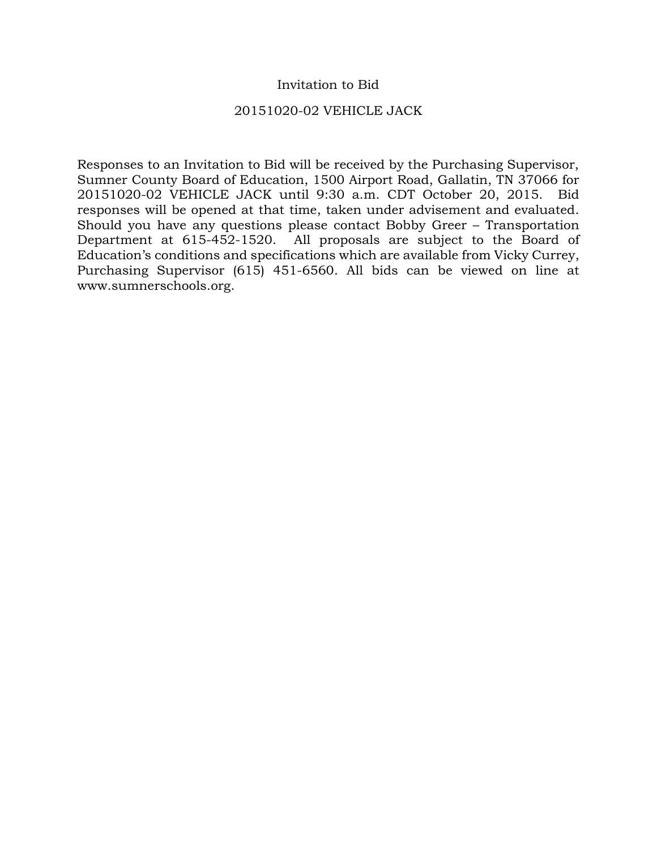## Invitation to Bid

## 20151020-02 VEHICLE JACK

Responses to an Invitation to Bid will be received by the Purchasing Supervisor, Sumner County Board of Education, 1500 Airport Road, Gallatin, TN 37066 for 20151020-02 VEHICLE JACK until 9:30 a.m. CDT October 20, 2015. Bid responses will be opened at that time, taken under advisement and evaluated. Should you have any questions please contact Bobby Greer – Transportation Department at 615-452-1520. All proposals are subject to the Board of Education's conditions and specifications which are available from Vicky Currey, Purchasing Supervisor (615) 451-6560. All bids can be viewed on line at www.sumnerschools.org.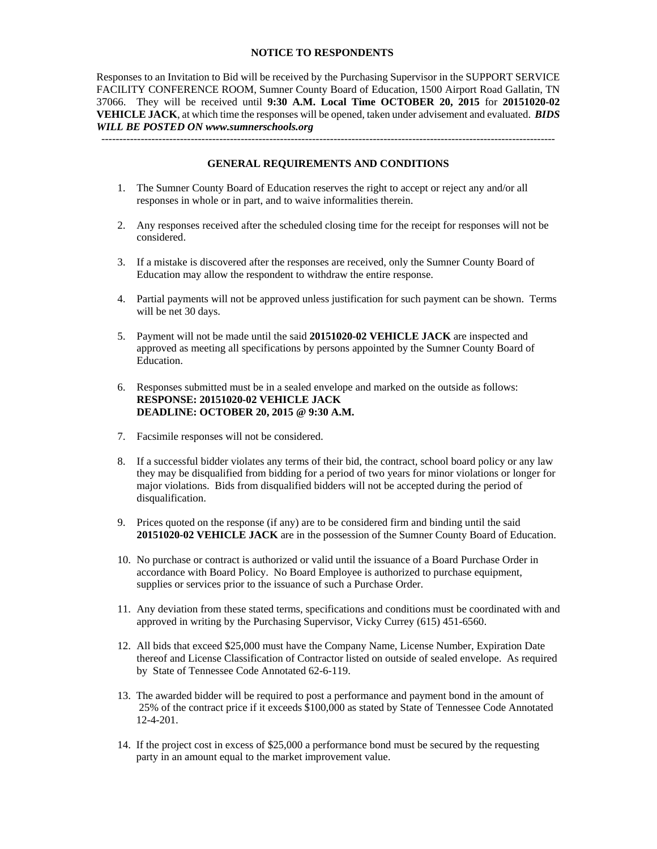#### **NOTICE TO RESPONDENTS**

Responses to an Invitation to Bid will be received by the Purchasing Supervisor in the SUPPORT SERVICE FACILITY CONFERENCE ROOM, Sumner County Board of Education, 1500 Airport Road Gallatin, TN 37066. They will be received until **9:30 A.M. Local Time OCTOBER 20, 2015** for **20151020-02 VEHICLE JACK**, at which time the responses will be opened, taken under advisement and evaluated. *BIDS WILL BE POSTED ON www.sumnerschools.org* 

**GENERAL REQUIREMENTS AND CONDITIONS** 

-------------------------------------------------------------------------------------------------------------------------------

- 1. The Sumner County Board of Education reserves the right to accept or reject any and/or all responses in whole or in part, and to waive informalities therein.
- 2. Any responses received after the scheduled closing time for the receipt for responses will not be considered.
- 3. If a mistake is discovered after the responses are received, only the Sumner County Board of Education may allow the respondent to withdraw the entire response.
- 4. Partial payments will not be approved unless justification for such payment can be shown. Terms will be net 30 days.
- 5. Payment will not be made until the said **20151020-02 VEHICLE JACK** are inspected and approved as meeting all specifications by persons appointed by the Sumner County Board of Education.
- 6. Responses submitted must be in a sealed envelope and marked on the outside as follows: **RESPONSE: 20151020-02 VEHICLE JACK DEADLINE: OCTOBER 20, 2015 @ 9:30 A.M.**
- 7. Facsimile responses will not be considered.
- 8. If a successful bidder violates any terms of their bid, the contract, school board policy or any law they may be disqualified from bidding for a period of two years for minor violations or longer for major violations. Bids from disqualified bidders will not be accepted during the period of disqualification.
- 9. Prices quoted on the response (if any) are to be considered firm and binding until the said **20151020-02 VEHICLE JACK** are in the possession of the Sumner County Board of Education.
- 10. No purchase or contract is authorized or valid until the issuance of a Board Purchase Order in accordance with Board Policy. No Board Employee is authorized to purchase equipment, supplies or services prior to the issuance of such a Purchase Order.
- 11. Any deviation from these stated terms, specifications and conditions must be coordinated with and approved in writing by the Purchasing Supervisor, Vicky Currey (615) 451-6560.
- 12. All bids that exceed \$25,000 must have the Company Name, License Number, Expiration Date thereof and License Classification of Contractor listed on outside of sealed envelope. As required by State of Tennessee Code Annotated 62-6-119.
- 13. The awarded bidder will be required to post a performance and payment bond in the amount of 25% of the contract price if it exceeds \$100,000 as stated by State of Tennessee Code Annotated 12-4-201.
- 14. If the project cost in excess of \$25,000 a performance bond must be secured by the requesting party in an amount equal to the market improvement value.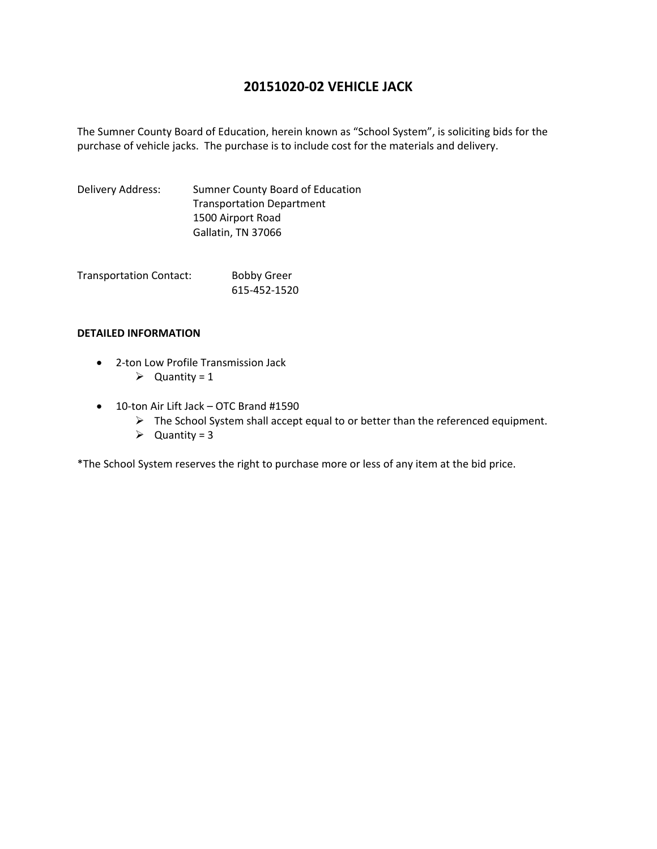# **20151020‐02 VEHICLE JACK**

The Sumner County Board of Education, herein known as "School System", is soliciting bids for the purchase of vehicle jacks. The purchase is to include cost for the materials and delivery.

Delivery Address: Sumner County Board of Education Transportation Department 1500 Airport Road Gallatin, TN 37066

Transportation Contact: Bobby Greer 615‐452‐1520

### **DETAILED INFORMATION**

- 2-ton Low Profile Transmission Jack
	- $\triangleright$  Quantity = 1
- 10-ton Air Lift Jack OTC Brand #1590
	- $\triangleright$  The School System shall accept equal to or better than the referenced equipment.
	- $\triangleright$  Quantity = 3

\*The School System reserves the right to purchase more or less of any item at the bid price.